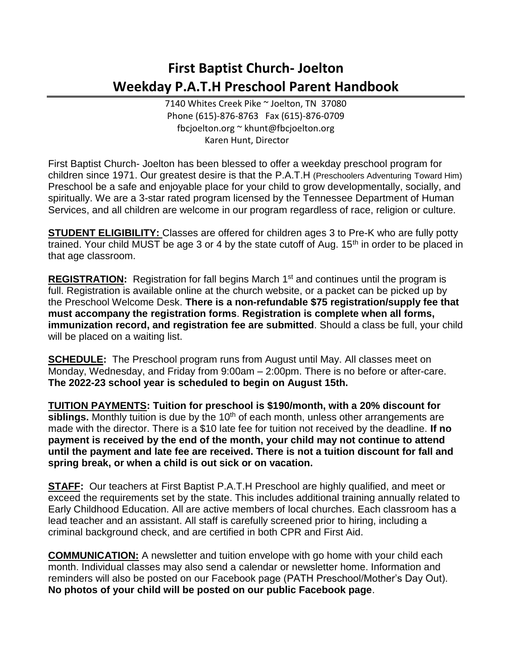## **First Baptist Church- Joelton Weekday P.A.T.H Preschool Parent Handbook**

7140 Whites Creek Pike ~ Joelton, TN 37080 Phone (615)-876-8763 Fax (615)-876-0709 fbcjoelton.org ~ khunt@fbcjoelton.org Karen Hunt, Director

First Baptist Church- Joelton has been blessed to offer a weekday preschool program for children since 1971. Our greatest desire is that the P.A.T.H (Preschoolers Adventuring Toward Him) Preschool be a safe and enjoyable place for your child to grow developmentally, socially, and spiritually. We are a 3-star rated program licensed by the Tennessee Department of Human Services, and all children are welcome in our program regardless of race, religion or culture.

**STUDENT ELIGIBILITY:** Classes are offered for children ages 3 to Pre-K who are fully potty trained. Your child MUST be age 3 or 4 by the state cutoff of Aug.  $15<sup>th</sup>$  in order to be placed in that age classroom.

**REGISTRATION:** Registration for fall begins March 1<sup>st</sup> and continues until the program is full. Registration is available online at the church website, or a packet can be picked up by the Preschool Welcome Desk. **There is a non-refundable \$75 registration/supply fee that must accompany the registration forms**. **Registration is complete when all forms, immunization record, and registration fee are submitted**. Should a class be full, your child will be placed on a waiting list.

**SCHEDULE:** The Preschool program runs from August until May. All classes meet on Monday, Wednesday, and Friday from 9:00am – 2:00pm. There is no before or after-care. **The 2022-23 school year is scheduled to begin on August 15th.**

**TUITION PAYMENTS: Tuition for preschool is \$190/month, with a 20% discount for**  siblings. Monthly tuition is due by the 10<sup>th</sup> of each month, unless other arrangements are made with the director. There is a \$10 late fee for tuition not received by the deadline. **If no payment is received by the end of the month, your child may not continue to attend until the payment and late fee are received. There is not a tuition discount for fall and spring break, or when a child is out sick or on vacation.**

**STAFF:** Our teachers at First Baptist P.A.T.H Preschool are highly qualified, and meet or exceed the requirements set by the state. This includes additional training annually related to Early Childhood Education. All are active members of local churches. Each classroom has a lead teacher and an assistant. All staff is carefully screened prior to hiring, including a criminal background check, and are certified in both CPR and First Aid.

**COMMUNICATION:** A newsletter and tuition envelope with go home with your child each month. Individual classes may also send a calendar or newsletter home. Information and reminders will also be posted on our Facebook page (PATH Preschool/Mother's Day Out). **No photos of your child will be posted on our public Facebook page**.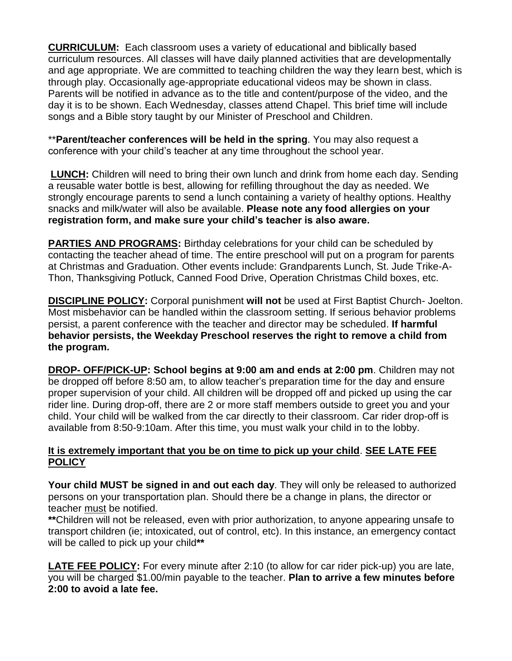**CURRICULUM:** Each classroom uses a variety of educational and biblically based curriculum resources. All classes will have daily planned activities that are developmentally and age appropriate. We are committed to teaching children the way they learn best, which is through play. Occasionally age-appropriate educational videos may be shown in class. Parents will be notified in advance as to the title and content/purpose of the video, and the day it is to be shown. Each Wednesday, classes attend Chapel. This brief time will include songs and a Bible story taught by our Minister of Preschool and Children.

\*\***Parent/teacher conferences will be held in the spring**. You may also request a conference with your child's teacher at any time throughout the school year.

**LUNCH:** Children will need to bring their own lunch and drink from home each day. Sending a reusable water bottle is best, allowing for refilling throughout the day as needed. We strongly encourage parents to send a lunch containing a variety of healthy options. Healthy snacks and milk/water will also be available. **Please note any food allergies on your registration form, and make sure your child's teacher is also aware.**

**PARTIES AND PROGRAMS:** Birthday celebrations for your child can be scheduled by contacting the teacher ahead of time. The entire preschool will put on a program for parents at Christmas and Graduation. Other events include: Grandparents Lunch, St. Jude Trike-A-Thon, Thanksgiving Potluck, Canned Food Drive, Operation Christmas Child boxes, etc.

**DISCIPLINE POLICY:** Corporal punishment **will not** be used at First Baptist Church- Joelton. Most misbehavior can be handled within the classroom setting. If serious behavior problems persist, a parent conference with the teacher and director may be scheduled. **If harmful behavior persists, the Weekday Preschool reserves the right to remove a child from the program.**

**DROP- OFF/PICK-UP: School begins at 9:00 am and ends at 2:00 pm**. Children may not be dropped off before 8:50 am, to allow teacher's preparation time for the day and ensure proper supervision of your child. All children will be dropped off and picked up using the car rider line. During drop-off, there are 2 or more staff members outside to greet you and your child. Your child will be walked from the car directly to their classroom. Car rider drop-off is available from 8:50-9:10am. After this time, you must walk your child in to the lobby.

## **It is extremely important that you be on time to pick up your child**. **SEE LATE FEE POLICY**

**Your child MUST be signed in and out each day**. They will only be released to authorized persons on your transportation plan. Should there be a change in plans, the director or teacher must be notified.

**\*\***Children will not be released, even with prior authorization, to anyone appearing unsafe to transport children (ie; intoxicated, out of control, etc). In this instance, an emergency contact will be called to pick up your child**\*\***

**LATE FEE POLICY:** For every minute after 2:10 (to allow for car rider pick-up) you are late, you will be charged \$1.00/min payable to the teacher. **Plan to arrive a few minutes before 2:00 to avoid a late fee.**